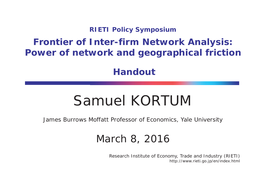#### **RIETI Policy Symposium**

#### **Frontier of Inter-firm Network Analysis: Power of network and geographical friction**

**Handout**

# Samuel KORTUM

James Burrows Moffatt Professor of Economics, Yale University

#### March 8, 2016

Research Institute of Economy, Trade and Industry (RIETI) http://www.rieti.go.jp/en/index.html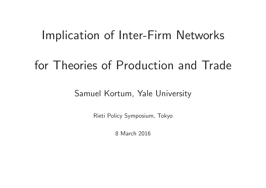#### Implication of Inter-Firm Networks

#### for Theories of Production and Trade

Samuel Kortum, Yale University

Rieti Policy Symposium, Tokyo

8 March 2016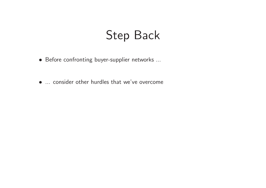#### **Step Back**

- Before confronting buyer-supplier networks ...
- ... consider other hurdles that we've overcome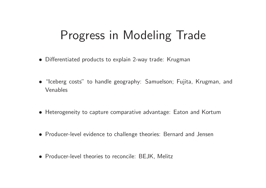### Progress in Modeling Trade

- Differentiated products to explain 2-way trade: Krugman
- "Iceberg costs" to handle geography: Samuelson; Fujita, Krugman, and Venables
- Heterogeneity to capture comparative advantage: Eaton and Kortum
- Producer-level evidence to challenge theories: Bernard and Jensen
- Producer-level theories to reconcile: BEJK, Melitz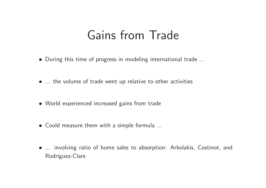#### Gains from Trade

- During this time of progress in modeling international trade ...
- ... the volume of trade went up relative to other activities
- World experienced increased gains from trade
- Could measure them with a simple formula ...
- ... involving ratio of home sales to absorption: Arkolakis, Costinot, and Rodríguez-Clare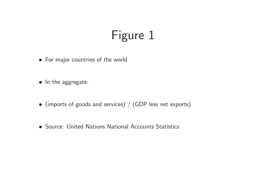## Figure 1

- For major countries of the world
- In the aggregate:
- $\bullet$  (imports of goods and services) / (GDP less net exports)
- Source: United Nations National Accounts Statistics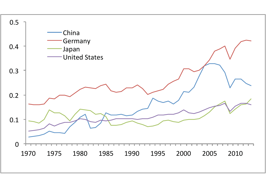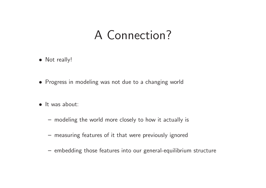#### A Connection?

- Not really!
- Progress in modeling was not due to a changing world
- It was about:
	- modeling the world more closely to how it actually is
	- measuring features of it that were previously ignored
	- embedding those features into our general-equilibrium structure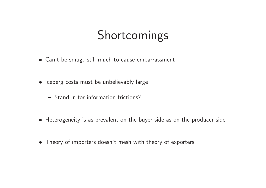#### Shortcomings

- Can't be smug: still much to cause embarrassment
- Iceberg costs must be unbelievably large
	- Stand in for information frictions?
- Heterogeneity is as prevalent on the buyer side as on the producer side
- Theory of importers doesn't mesh with theory of exporters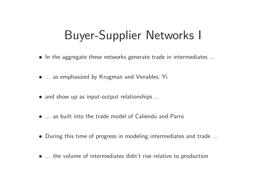#### Buyer-Supplier Networks I

- In the aggregate these networks generate trade in intermediates ...
- ... as emphasized by Krugman and Venables; Yi
- and show up as input-output relationships ...
- ... as built into the trade model of Caliendo and Parro
- . During this time of progress in modeling intermediates and trade ...
- ... the volume of intermediates didn't rise relative to production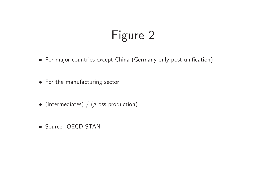## Figure 2

- For major countries except China (Germany only post-unification)
- For the manufacturing sector:
- $\bullet$  (intermediates) / (gross production)
- Source: OECD STAN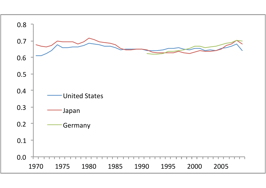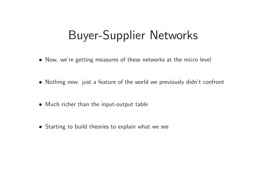#### **Buyer-Supplier Networks**

- Now, we're getting measures of these networks at the micro level
- Nothing new: just a feature of the world we previously didn't confront
- Much richer than the input-output table
- Starting to build theories to explain what we see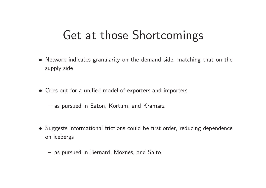#### Get at those Shortcomings

- Network indicates granularity on the demand side, matching that on the supply side
- Cries out for a unified model of exporters and importers
	- as pursued in Eaton, Kortum, and Kramarz
- Suggests informational frictions could be first order, reducing dependence on icebergs
	- as pursued in Bernard, Moxnes, and Saito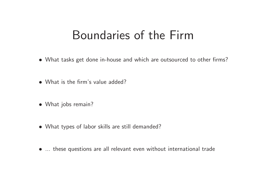#### Boundaries of the Firm

- What tasks get done in-house and which are outsourced to other firms?
- What is the firm's value added?
- What jobs remain?
- What types of labor skills are still demanded?
- ... these questions are all relevant even without international trade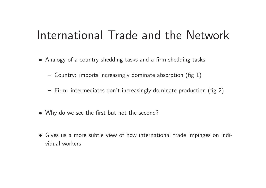#### International Trade and the Network

- Analogy of a country shedding tasks and a firm shedding tasks
	- Country: imports increasingly dominate absorption (fig 1)
	- Firm: intermediates don't increasingly dominate production (fig 2)
- Why do we see the first but not the second?
- Gives us a more subtle view of how international trade impinges on individual workers